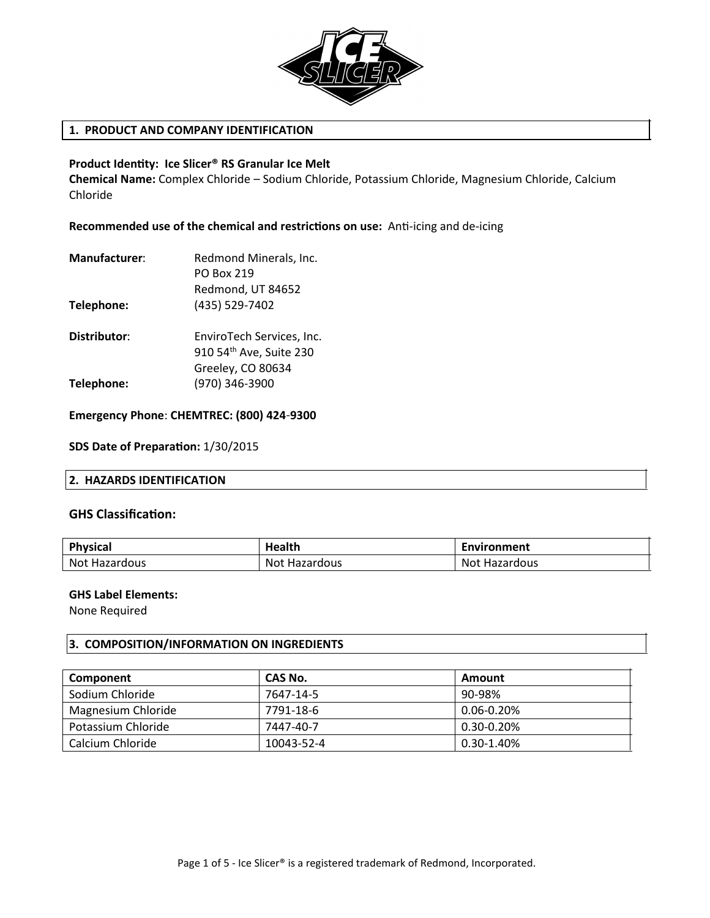

# **1. PRODUCT AND COMPANY IDENTIFICATION**

### **Product Identty: Ice Slicer® RS Granular Ice Melt**

**Chemical Name:** Complex Chloride – Sodium Chloride, Potassium Chloride, Magnesium Chloride, Calcium Chloride

**Recommended use of the chemical and restrictons on use:** Ant-icing and de-icing

| Redmond Minerals, Inc.                               |
|------------------------------------------------------|
| <b>PO Box 219</b>                                    |
| Redmond, UT 84652                                    |
| (435) 529-7402                                       |
| EnviroTech Services, Inc.<br>910 54th Ave, Suite 230 |
| Greeley, CO 80634<br>(970) 346-3900                  |
|                                                      |

### **Emergency Phone**: **CHEMTREC: (800) 424-9300**

### **SDS Date of Preparaton:** 1/30/2015

### **2. HAZARDS IDENTIFICATION**

### **GHS Classificaton:**

| <b>Physical</b> | <b>Health</b>        | Environment   |
|-----------------|----------------------|---------------|
| Not Hazardous   | <b>Not Hazardous</b> | Not Hazardous |

## **GHS Label Elements:**

None Required

### **3. COMPOSITION/INFORMATION ON INGREDIENTS**

| Component          | CAS No.    | Amount          |
|--------------------|------------|-----------------|
| Sodium Chloride    | 7647-14-5  | 90-98%          |
| Magnesium Chloride | 7791-18-6  | $0.06 - 0.20\%$ |
| Potassium Chloride | 7447-40-7  | 0.30-0.20%      |
| Calcium Chloride   | 10043-52-4 | 0.30-1.40%      |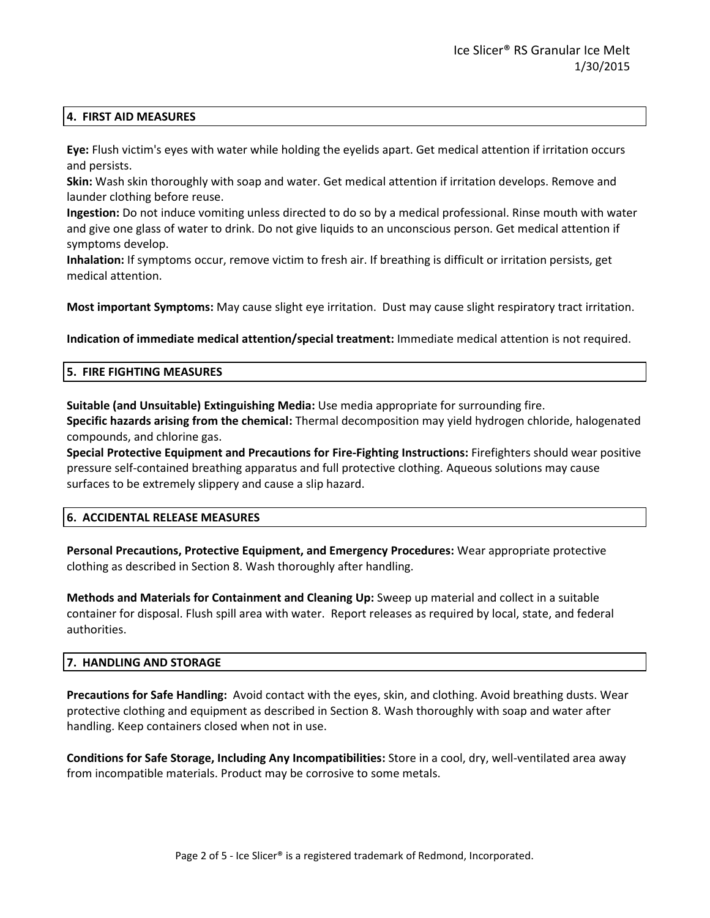## **4. FIRST AID MEASURES**

**Eye:** Flush victim's eyes with water while holding the eyelids apart. Get medical attention if irritation occurs and persists.

**Skin:** Wash skin thoroughly with soap and water. Get medical attention if irritation develops. Remove and launder clothing before reuse.

**Ingestion:** Do not induce vomiting unless directed to do so by a medical professional. Rinse mouth with water and give one glass of water to drink. Do not give liquids to an unconscious person. Get medical attention if symptoms develop.

**Inhalation:** If symptoms occur, remove victim to fresh air. If breathing is difficult or irritation persists, get medical attention.

**Most important Symptoms:** May cause slight eye irritation. Dust may cause slight respiratory tract irritation.

**Indication of immediate medical attention/special treatment:** Immediate medical attention is not required.

### **5. FIRE FIGHTING MEASURES**

**Suitable (and Unsuitable) Extinguishing Media:** Use media appropriate for surrounding fire.

**Specific hazards arising from the chemical:** Thermal decomposition may yield hydrogen chloride, halogenated compounds, and chlorine gas.

**Special Protective Equipment and Precautions for Fire-Fighting Instructions:** Firefighters should wear positive pressure self-contained breathing apparatus and full protective clothing. Aqueous solutions may cause surfaces to be extremely slippery and cause a slip hazard.

# **6. ACCIDENTAL RELEASE MEASURES**

**Personal Precautions, Protective Equipment, and Emergency Procedures:** Wear appropriate protective clothing as described in Section 8. Wash thoroughly after handling.

**Methods and Materials for Containment and Cleaning Up:** Sweep up material and collect in a suitable container for disposal. Flush spill area with water. Report releases as required by local, state, and federal authorities.

# **7. HANDLING AND STORAGE**

**Precautions for Safe Handling:** Avoid contact with the eyes, skin, and clothing. Avoid breathing dusts. Wear protective clothing and equipment as described in Section 8. Wash thoroughly with soap and water after handling. Keep containers closed when not in use.

**Conditions for Safe Storage, Including Any Incompatibilities:** Store in a cool, dry, well-ventilated area away from incompatible materials. Product may be corrosive to some metals.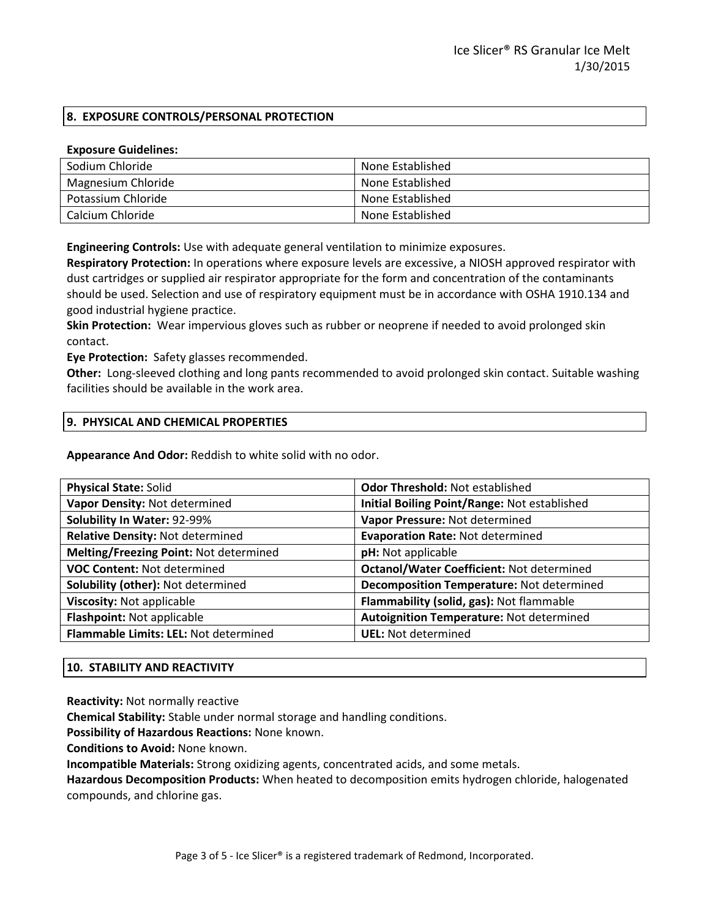# **8. EXPOSURE CONTROLS/PERSONAL PROTECTION**

### **Exposure Guidelines:**

| Sodium Chloride    | None Established |
|--------------------|------------------|
| Magnesium Chloride | None Established |
| Potassium Chloride | None Established |
| Calcium Chloride   | None Established |

**Engineering Controls:** Use with adequate general ventilation to minimize exposures.

**Respiratory Protection:** In operations where exposure levels are excessive, a NIOSH approved respirator with dust cartridges or supplied air respirator appropriate for the form and concentration of the contaminants should be used. Selection and use of respiratory equipment must be in accordance with OSHA 1910.134 and good industrial hygiene practice.

**Skin Protection:** Wear impervious gloves such as rubber or neoprene if needed to avoid prolonged skin contact.

**Eye Protection:** Safety glasses recommended.

**Other:** Long-sleeved clothing and long pants recommended to avoid prolonged skin contact. Suitable washing facilities should be available in the work area.

## **9. PHYSICAL AND CHEMICAL PROPERTIES**

**Appearance And Odor:** Reddish to white solid with no odor.

| <b>Odor Threshold: Not established</b>           |
|--------------------------------------------------|
| Initial Boiling Point/Range: Not established     |
| Vapor Pressure: Not determined                   |
| <b>Evaporation Rate: Not determined</b>          |
| pH: Not applicable                               |
| <b>Octanol/Water Coefficient: Not determined</b> |
| Decomposition Temperature: Not determined        |
| Flammability (solid, gas): Not flammable         |
| Autoignition Temperature: Not determined         |
| <b>UEL:</b> Not determined                       |
|                                                  |

# **10. STABILITY AND REACTIVITY**

**Reactivity:** Not normally reactive

**Chemical Stability:** Stable under normal storage and handling conditions.

**Possibility of Hazardous Reactions:** None known.

**Conditions to Avoid:** None known.

**Incompatible Materials:** Strong oxidizing agents, concentrated acids, and some metals.

**Hazardous Decomposition Products:** When heated to decomposition emits hydrogen chloride, halogenated compounds, and chlorine gas.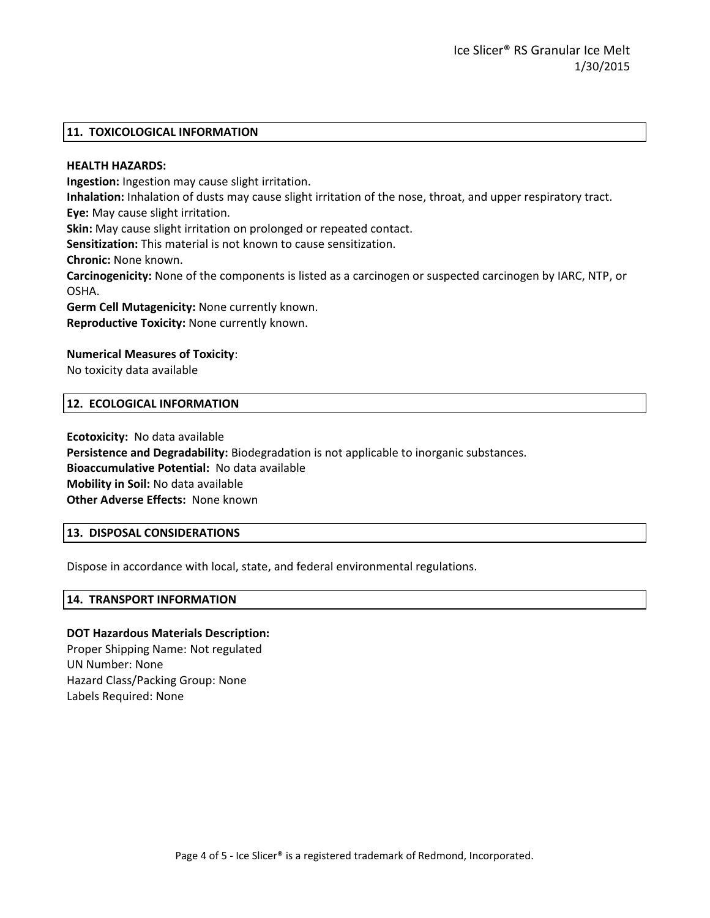### **11. TOXICOLOGICAL INFORMATION**

### **HEALTH HAZARDS:**

**Ingestion:** Ingestion may cause slight irritation.

**Inhalation:** Inhalation of dusts may cause slight irritation of the nose, throat, and upper respiratory tract. **Eye:** May cause slight irritation.

**Skin:** May cause slight irritation on prolonged or repeated contact.

**Sensitization:** This material is not known to cause sensitization.

**Chronic:** None known.

**Carcinogenicity:** None of the components is listed as a carcinogen or suspected carcinogen by IARC, NTP, or OSHA.

**Germ Cell Mutagenicity:** None currently known. **Reproductive Toxicity:** None currently known.

## **Numerical Measures of Toxicity**:

No toxicity data available

## **12. ECOLOGICAL INFORMATION**

**Ecotoxicity:** No data available **Persistence and Degradability:** Biodegradation is not applicable to inorganic substances. **Bioaccumulative Potential:** No data available **Mobility in Soil:** No data available **Other Adverse Effects:** None known

### **13. DISPOSAL CONSIDERATIONS**

Dispose in accordance with local, state, and federal environmental regulations.

### **14. TRANSPORT INFORMATION**

### **DOT Hazardous Materials Description:**

Proper Shipping Name: Not regulated UN Number: None Hazard Class/Packing Group: None Labels Required: None